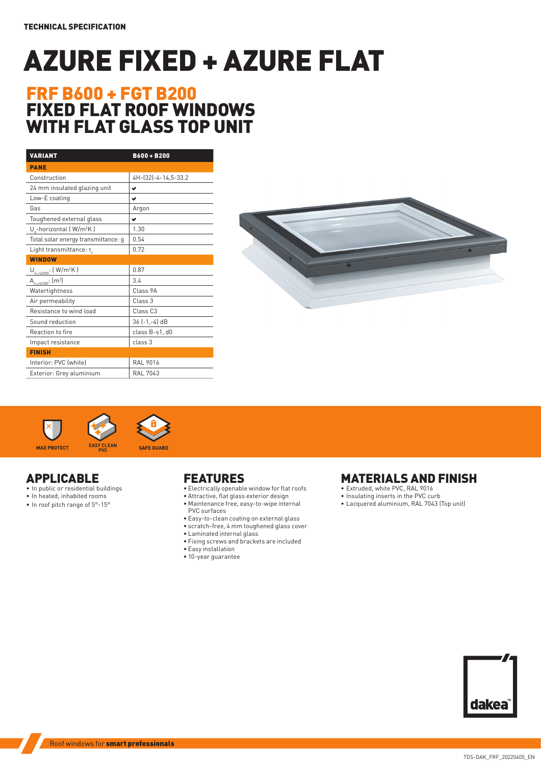# AZURE FIXED + AZURE FLAT

# FRF B600 + FGT B200 FIXED FLAT ROOF WINDOWS WITH FLAT GLASS TOP UNIT

| <b>VARIANT</b>                         | $B600 + B200$       |  |  |  |  |
|----------------------------------------|---------------------|--|--|--|--|
| <b>PANE</b>                            |                     |  |  |  |  |
| Construction                           | 4H-(32)-4-14,5-33.2 |  |  |  |  |
| 24 mm insulated glazing unit           | ✔                   |  |  |  |  |
| Low-E coating                          | ✔                   |  |  |  |  |
| Gas                                    | Argon               |  |  |  |  |
| Toughened external glass               | ✔                   |  |  |  |  |
| U -horizontal (W/m <sup>2</sup> K)     | 1.30                |  |  |  |  |
| Total solar energy transmittance: g    | 0.54                |  |  |  |  |
| Light transmittance: T.                | 0.72                |  |  |  |  |
| <b>WINDOW</b>                          |                     |  |  |  |  |
| $U_{rc,ref300}$ : (W/m <sup>2</sup> K) | 0.87                |  |  |  |  |
| $A_{r c, ref300}$ : $(m2)$             | 3.4                 |  |  |  |  |
| Watertightness                         | Class 9A            |  |  |  |  |
| Air permeability                       | Class 3             |  |  |  |  |
| Resistance to wind load                | Class <sub>C3</sub> |  |  |  |  |
| Sound reduction                        | 36 (-1,-4) dB       |  |  |  |  |
| Reaction to fire                       | class B-s1, d0      |  |  |  |  |
| Impact resistance                      | class 3             |  |  |  |  |
| <b>FINISH</b>                          |                     |  |  |  |  |
| Interior: PVC (white)                  | <b>RAL 9016</b>     |  |  |  |  |
| Exterior: Grey aluminium               | <b>RAL 7043</b>     |  |  |  |  |







### APPLICABLE

- In public or residential buildings
- In heated, inhabited rooms
- In roof pitch range of 5°-15°

## FEATURES

- Electrically openable window for flat roofs
- Attractive, flat glass exterior design
- Maintenance free, easy-to-wipe internal
- PVC surfaces • Easy-to-clean coating on external glass
- scratch-free, 4 mm toughened glass cover
- Laminated internal glass
- Fixing screws and brackets are included
- Easy installation
- 10-year guarantee

### MATERIALS AND FINISH

- Extruded, white PVC, RAL 9016
- Insulating inserts in the PVC curb
- Lacquered aluminium, RAL 7043 (Top unit)